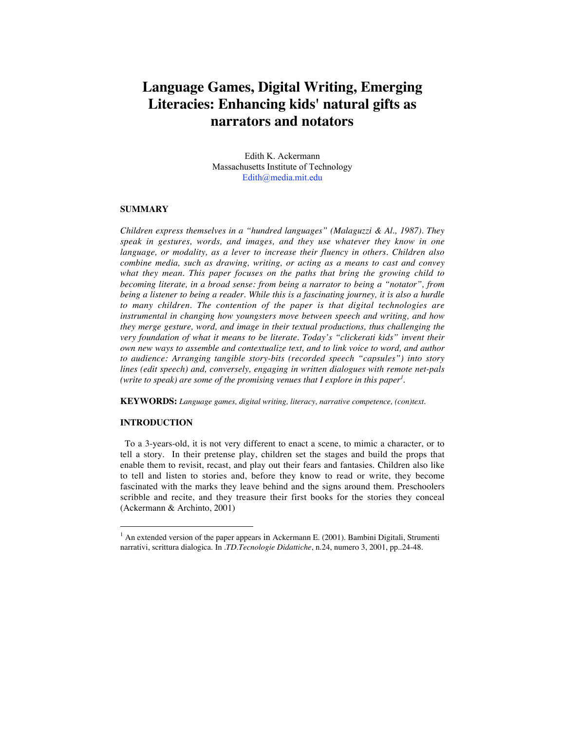# **Language Games, Digital Writing, Emerging Literacies: Enhancing kids' natural gifts as narrators and notators**

Edith K. Ackermann Massachusetts Institute of Technology Edith@media.mit.edu

#### **SUMMARY**

*Children express themselves in a "hundred languages" (Malaguzzi & Al., 1987). They speak in gestures, words, and images, and they use whatever they know in one language, or modality, as a lever to increase their fluency in others. Children also combine media, such as drawing, writing, or acting as a means to cast and convey what they mean. This paper focuses on the paths that bring the growing child to becoming literate, in a broad sense: from being a narrator to being a "notator", from being a listener to being a reader. While this is a fascinating journey, it is also a hurdle to many children. The contention of the paper is that digital technologies are instrumental in changing how youngsters move between speech and writing, and how they merge gesture, word, and image in their textual productions, thus challenging the very foundation of what it means to be literate. Today's "clickerati kids" invent their own new ways to assemble and contextualize text, and to link voice to word, and author to audience: Arranging tangible story-bits (recorded speech "capsules") into story lines (edit speech) and, conversely, engaging in written dialogues with remote net-pals (write to speak) are some of the promising venues that I explore in this paper1 .*

**KEYWORDS:** *Language games, digital writing, literacy, narrative competence, (con)text.*

# **INTRODUCTION**

1

To a 3-years-old, it is not very different to enact a scene, to mimic a character, or to tell a story. In their pretense play, children set the stages and build the props that enable them to revisit, recast, and play out their fears and fantasies. Children also like to tell and listen to stories and, before they know to read or write, they become fascinated with the marks they leave behind and the signs around them. Preschoolers scribble and recite, and they treasure their first books for the stories they conceal (Ackermann & Archinto, 2001)

 $<sup>1</sup>$  An extended version of the paper appears in Ackermann E. (2001). Bambini Digitali, Strumenti</sup> narrativi, scrittura dialogica. In .*TD.Tecnologie Didattiche*, n.24, numero 3, 2001, pp..24-48.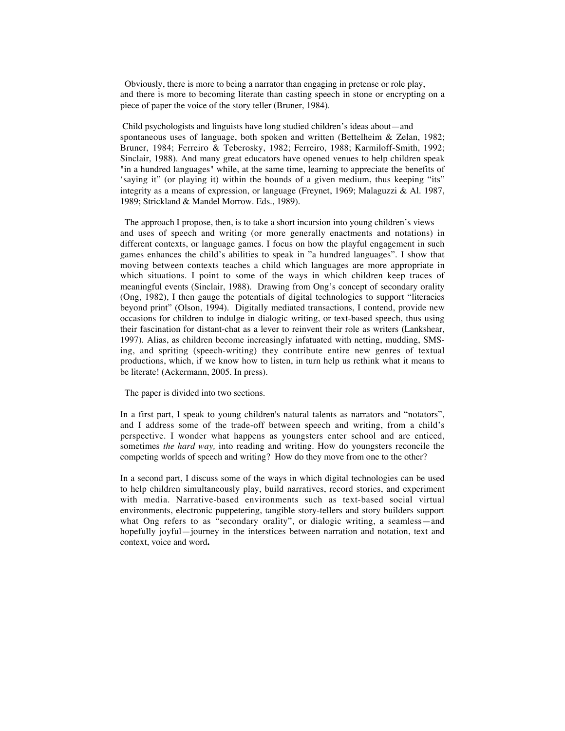Obviously, there is more to being a narrator than engaging in pretense or role play, and there is more to becoming literate than casting speech in stone or encrypting on a piece of paper the voice of the story teller (Bruner, 1984).

 Child psychologists and linguists have long studied children's ideas about—and spontaneous uses of language, both spoken and written (Bettelheim & Zelan, 1982; Bruner, 1984; Ferreiro & Teberosky, 1982; Ferreiro, 1988; Karmiloff-Smith, 1992; Sinclair, 1988). And many great educators have opened venues to help children speak "in a hundred languages" while, at the same time, learning to appreciate the benefits of 'saying it" (or playing it) within the bounds of a given medium, thus keeping "its" integrity as a means of expression, or language (Freynet, 1969; Malaguzzi & Al. 1987, 1989; Strickland & Mandel Morrow. Eds., 1989).

 The approach I propose, then, is to take a short incursion into young children's views and uses of speech and writing (or more generally enactments and notations) in different contexts, or language games. I focus on how the playful engagement in such games enhances the child's abilities to speak in "a hundred languages". I show that moving between contexts teaches a child which languages are more appropriate in which situations. I point to some of the ways in which children keep traces of meaningful events (Sinclair, 1988). Drawing from Ong's concept of secondary orality (Ong, 1982), I then gauge the potentials of digital technologies to support "literacies beyond print" (Olson, 1994). Digitally mediated transactions, I contend, provide new occasions for children to indulge in dialogic writing, or text-based speech, thus using their fascination for distant-chat as a lever to reinvent their role as writers (Lankshear, 1997). Alias, as children become increasingly infatuated with netting, mudding, SMSing, and spriting (speech-writing) they contribute entire new genres of textual productions, which, if we know how to listen, in turn help us rethink what it means to be literate! (Ackermann, 2005. In press).

The paper is divided into two sections.

In a first part, I speak to young children's natural talents as narrators and "notators", and I address some of the trade-off between speech and writing, from a child's perspective. I wonder what happens as youngsters enter school and are enticed, sometimes *the hard way,* into reading and writing. How do youngsters reconcile the competing worlds of speech and writing? How do they move from one to the other?

In a second part, I discuss some of the ways in which digital technologies can be used to help children simultaneously play, build narratives, record stories, and experiment with media. Narrative-based environments such as text-based social virtual environments, electronic puppetering, tangible story-tellers and story builders support what Ong refers to as "secondary orality", or dialogic writing, a seamless—and hopefully joyful—journey in the interstices between narration and notation, text and context, voice and word**.**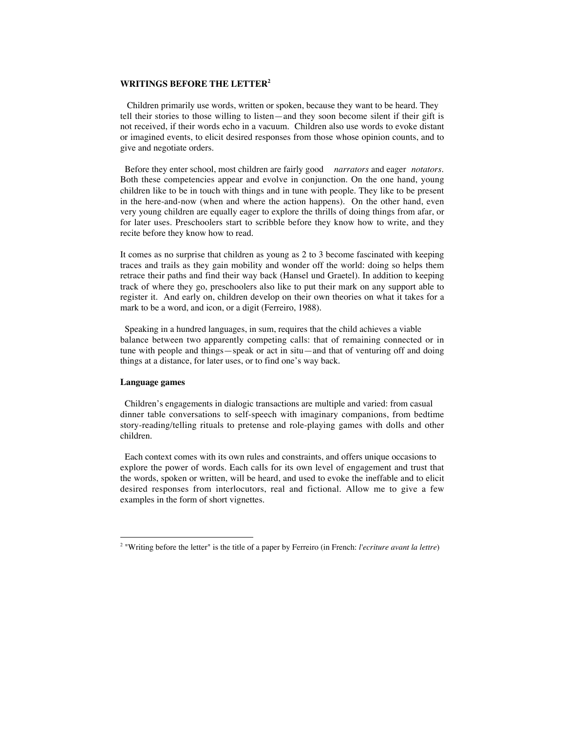## **WRITINGS BEFORE THE LETTER2**

 Children primarily use words, written or spoken, because they want to be heard. They tell their stories to those willing to listen—and they soon become silent if their gift is not received, if their words echo in a vacuum. Children also use words to evoke distant or imagined events, to elicit desired responses from those whose opinion counts, and to give and negotiate orders.

 Before they enter school, most children are fairly good *narrators* and eager *notators*. Both these competencies appear and evolve in conjunction. On the one hand, young children like to be in touch with things and in tune with people. They like to be present in the here-and-now (when and where the action happens). On the other hand, even very young children are equally eager to explore the thrills of doing things from afar, or for later uses. Preschoolers start to scribble before they know how to write, and they recite before they know how to read.

It comes as no surprise that children as young as 2 to 3 become fascinated with keeping traces and trails as they gain mobility and wonder off the world: doing so helps them retrace their paths and find their way back (Hansel und Graetel). In addition to keeping track of where they go, preschoolers also like to put their mark on any support able to register it. And early on, children develop on their own theories on what it takes for a mark to be a word, and icon, or a digit (Ferreiro, 1988).

 Speaking in a hundred languages, in sum, requires that the child achieves a viable balance between two apparently competing calls: that of remaining connected or in tune with people and things—speak or act in situ—and that of venturing off and doing things at a distance, for later uses, or to find one's way back.

## **Language games**

1

 Children's engagements in dialogic transactions are multiple and varied: from casual dinner table conversations to self-speech with imaginary companions, from bedtime story-reading/telling rituals to pretense and role-playing games with dolls and other children.

 Each context comes with its own rules and constraints, and offers unique occasions to explore the power of words. Each calls for its own level of engagement and trust that the words, spoken or written, will be heard, and used to evoke the ineffable and to elicit desired responses from interlocutors, real and fictional. Allow me to give a few examples in the form of short vignettes.

<sup>2</sup> "Writing before the letter" is the title of a paper by Ferreiro (in French: *l'ecriture avant la lettre*)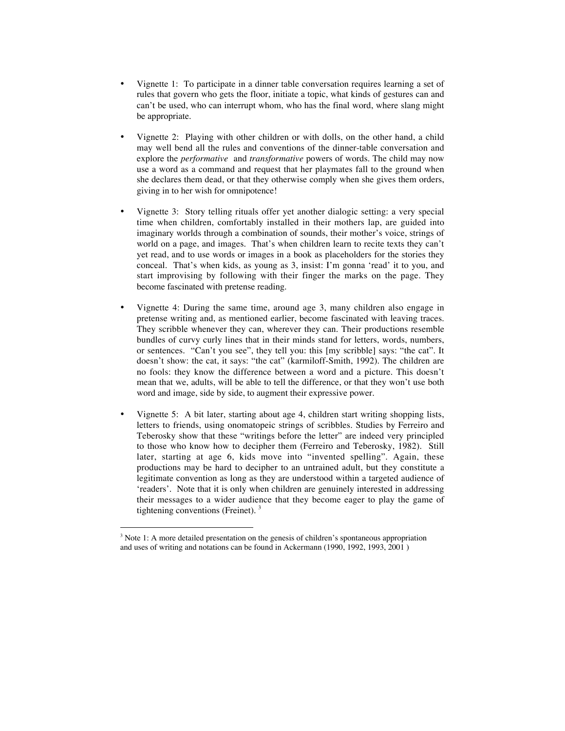- Vignette 1: To participate in a dinner table conversation requires learning a set of rules that govern who gets the floor, initiate a topic, what kinds of gestures can and can't be used, who can interrupt whom, who has the final word, where slang might be appropriate.
- Vignette 2: Playing with other children or with dolls, on the other hand, a child may well bend all the rules and conventions of the dinner-table conversation and explore the *performative* and *transformative* powers of words. The child may now use a word as a command and request that her playmates fall to the ground when she declares them dead, or that they otherwise comply when she gives them orders, giving in to her wish for omnipotence!
- Vignette 3: Story telling rituals offer yet another dialogic setting: a very special time when children, comfortably installed in their mothers lap, are guided into imaginary worlds through a combination of sounds, their mother's voice, strings of world on a page, and images. That's when children learn to recite texts they can't yet read, and to use words or images in a book as placeholders for the stories they conceal. That's when kids, as young as 3, insist: I'm gonna 'read' it to you, and start improvising by following with their finger the marks on the page. They become fascinated with pretense reading.
- Vignette 4: During the same time, around age 3, many children also engage in pretense writing and, as mentioned earlier, become fascinated with leaving traces. They scribble whenever they can, wherever they can. Their productions resemble bundles of curvy curly lines that in their minds stand for letters, words, numbers, or sentences. "Can't you see", they tell you: this [my scribble] says: "the cat". It doesn't show: the cat, it says: "the cat" (karmiloff-Smith, 1992). The children are no fools: they know the difference between a word and a picture. This doesn't mean that we, adults, will be able to tell the difference, or that they won't use both word and image, side by side, to augment their expressive power.
- Vignette 5: A bit later, starting about age 4, children start writing shopping lists, letters to friends, using onomatopeic strings of scribbles. Studies by Ferreiro and Teberosky show that these "writings before the letter" are indeed very principled to those who know how to decipher them (Ferreiro and Teberosky, 1982). Still later, starting at age 6, kids move into "invented spelling". Again, these productions may be hard to decipher to an untrained adult, but they constitute a legitimate convention as long as they are understood within a targeted audience of 'readers'. Note that it is only when children are genuinely interested in addressing their messages to a wider audience that they become eager to play the game of tightening conventions (Freinet). <sup>3</sup>

<u>.</u>

 $3$  Note 1: A more detailed presentation on the genesis of children's spontaneous appropriation and uses of writing and notations can be found in Ackermann (1990, 1992, 1993, 2001 )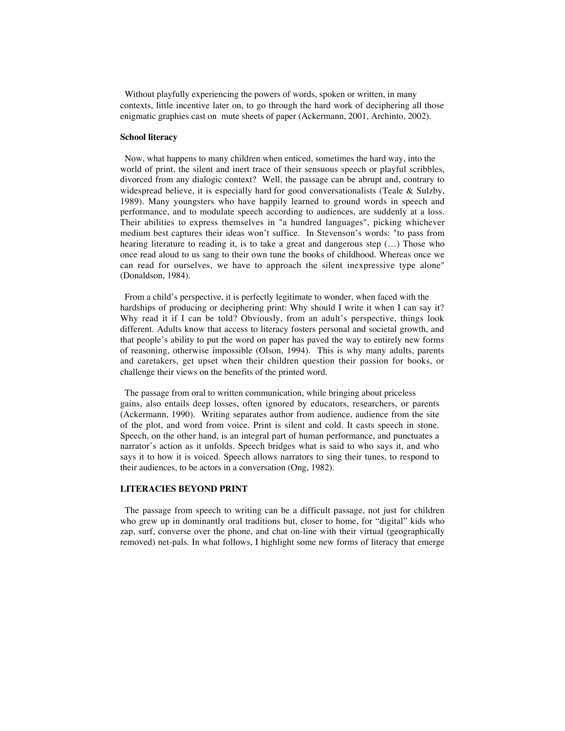Without playfully experiencing the powers of words, spoken or written, in many contexts, little incentive later on, to go through the hard work of deciphering all those enigmatic graphies cast on mute sheets of paper (Ackermann, 2001, Archinto, 2002).

#### **School literacy**

 Now, what happens to many children when enticed, sometimes the hard way, into the world of print, the silent and inert trace of their sensuous speech or playful scribbles, divorced from any dialogic context? Well, the passage can be abrupt and, contrary to widespread believe, it is especially hard for good conversationalists (Teale  $\&$  Sulzby, 1989). Many youngsters who have happily learned to ground words in speech and performance, and to modulate speech according to audiences, are suddenly at a loss. Their abilities to express themselves in "a hundred languages", picking whichever medium best captures their ideas won't suffice. In Stevenson's words: "to pass from hearing literature to reading it, is to take a great and dangerous step (...) Those who once read aloud to us sang to their own tune the books of childhood. Whereas once we can read for ourselves, we have to approach the silent inexpressive type alone" (Donaldson, 1984).

 From a child's perspective, it is perfectly legitimate to wonder, when faced with the hardships of producing or deciphering print: Why should I write it when I can say it? Why read it if I can be told? Obviously, from an adult's perspective, things look different. Adults know that access to literacy fosters personal and societal growth, and that people's ability to put the word on paper has paved the way to entirely new forms of reasoning, otherwise impossible (Olson, 1994). This is why many adults, parents and caretakers, get upset when their children question their passion for books, or challenge their views on the benefits of the printed word.

 The passage from oral to written communication, while bringing about priceless gains, also entails deep losses, often ignored by educators, researchers, or parents (Ackermann, 1990). Writing separates author from audience, audience from the site of the plot, and word from voice. Print is silent and cold. It casts speech in stone. Speech, on the other hand, is an integral part of human performance, and punctuates a narrator's action as it unfolds. Speech bridges what is said to who says it, and who says it to how it is voiced. Speech allows narrators to sing their tunes, to respond to their audiences, to be actors in a conversation (Ong, 1982).

#### **LITERACIES BEYOND PRINT**

The passage from speech to writing can be a difficult passage, not just for children who grew up in dominantly oral traditions but, closer to home, for "digital" kids who zap, surf, converse over the phone, and chat on-line with their virtual (geographically removed) net-pals. In what follows, I highlight some new forms of literacy that emerge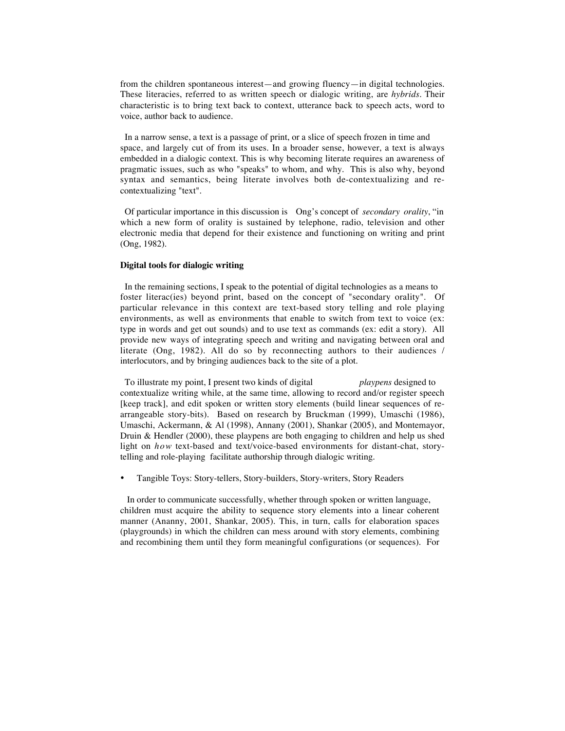from the children spontaneous interest—and growing fluency—in digital technologies. These literacies, referred to as written speech or dialogic writing, are *hybrids.* Their characteristic is to bring text back to context, utterance back to speech acts, word to voice, author back to audience.

 In a narrow sense, a text is a passage of print, or a slice of speech frozen in time and space, and largely cut of from its uses. In a broader sense, however, a text is always embedded in a dialogic context. This is why becoming literate requires an awareness of pragmatic issues, such as who "speaks" to whom, and why. This is also why, beyond syntax and semantics, being literate involves both de-contextualizing and recontextualizing "text".

 Of particular importance in this discussion is Ong's concept of *secondary orality*, "in which a new form of orality is sustained by telephone, radio, television and other electronic media that depend for their existence and functioning on writing and print (Ong, 1982).

### **Digital tools for dialogic writing**

 In the remaining sections, I speak to the potential of digital technologies as a means to foster literac(ies) beyond print, based on the concept of "secondary orality". Of particular relevance in this context are text-based story telling and role playing environments, as well as environments that enable to switch from text to voice (ex: type in words and get out sounds) and to use text as commands (ex: edit a story). All provide new ways of integrating speech and writing and navigating between oral and literate (Ong, 1982). All do so by reconnecting authors to their audiences / interlocutors, and by bringing audiences back to the site of a plot.

 To illustrate my point, I present two kinds of digital *playpens* designed to contextualize writing while, at the same time, allowing to record and/or register speech [keep track], and edit spoken or written story elements (build linear sequences of rearrangeable story-bits). Based on research by Bruckman (1999), Umaschi (1986), Umaschi, Ackermann, & Al (1998), Annany (2001), Shankar (2005), and Montemayor, Druin & Hendler (2000), these playpens are both engaging to children and help us shed light on *how* text-based and text/voice-based environments for distant-chat, storytelling and role-playing facilitate authorship through dialogic writing.

• Tangible Toys: Story-tellers, Story-builders, Story-writers, Story Readers

 In order to communicate successfully, whether through spoken or written language, children must acquire the ability to sequence story elements into a linear coherent manner (Ananny, 2001, Shankar, 2005). This, in turn, calls for elaboration spaces (playgrounds) in which the children can mess around with story elements, combining and recombining them until they form meaningful configurations (or sequences). For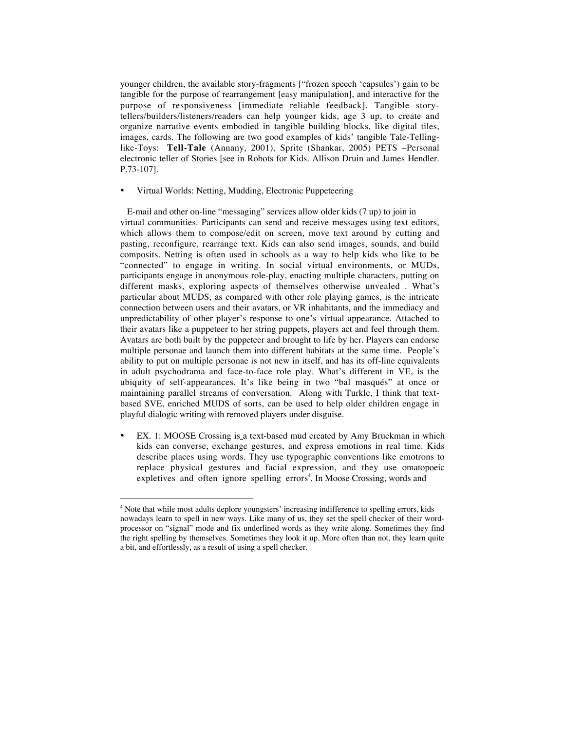younger children, the available story-fragments ["frozen speech 'capsules') gain to be tangible for the purpose of rearrangement [easy manipulation], and interactive for the purpose of responsiveness [immediate reliable feedback]. Tangible storytellers/builders/listeners/readers can help younger kids, age 3 up, to create and organize narrative events embodied in tangible building blocks, like digital tiles, images, cards. The following are two good examples of kids' tangible Tale-Tellinglike-Toys: **Tell-Tale** (Annany, 2001), Sprite (Shankar, 2005) PETS –Personal electronic teller of Stories [see in Robots for Kids. Allison Druin and James Hendler. P.73-107].

#### • Virtual Worlds: Netting, Mudding, Electronic Puppeteering

 E-mail and other on-line "messaging" services allow older kids (7 up) to join in virtual communities. Participants can send and receive messages using text editors, which allows them to compose/edit on screen, move text around by cutting and pasting, reconfigure, rearrange text. Kids can also send images, sounds, and build composits. Netting is often used in schools as a way to help kids who like to be "connected" to engage in writing. In social virtual environments, or MUDs, participants engage in anonymous role-play, enacting multiple characters, putting on different masks, exploring aspects of themselves otherwise unvealed . What's particular about MUDS, as compared with other role playing games, is the intricate connection between users and their avatars, or VR inhabitants, and the immediacy and unpredictability of other player's response to one's virtual appearance. Attached to their avatars like a puppeteer to her string puppets, players act and feel through them. Avatars are both built by the puppeteer and brought to life by her. Players can endorse multiple personae and launch them into different habitats at the same time. People's ability to put on multiple personae is not new in itself, and has its off-line equivalents in adult psychodrama and face-to-face role play. What's different in VE, is the ubiquity of self-appearances. It's like being in two "bal masqués" at once or maintaining parallel streams of conversation. Along with Turkle, I think that textbased SVE, enriched MUDS of sorts, can be used to help older children engage in playful dialogic writing with removed players under disguise.

• EX. 1: MOOSE Crossing is a text-based mud created by Amy Bruckman in which kids can converse, exchange gestures, and express emotions in real time. Kids describe places using words. They use typographic conventions like emotrons to replace physical gestures and facial expression, and they use omatopoeic expletives and often ignore spelling errors<sup>4</sup>. In Moose Crossing, words and

<u>.</u>

<sup>&</sup>lt;sup>4</sup> Note that while most adults deplore youngsters' increasing indifference to spelling errors, kids nowadays learn to spell in new ways. Like many of us, they set the spell checker of their wordprocessor on "signal" mode and fix underlined words as they write along. Sometimes they find the right spelling by themselves. Sometimes they look it up. More often than not, they learn quite a bit, and effortlessly, as a result of using a spell checker.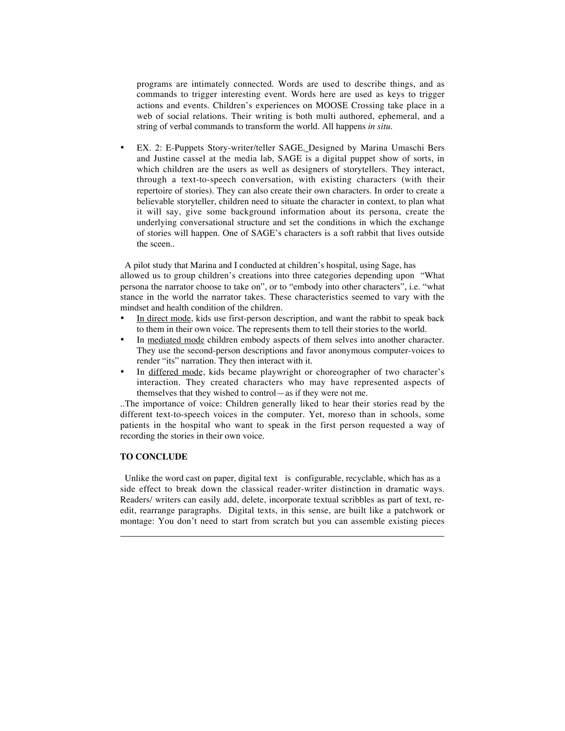programs are intimately connected. Words are used to describe things, and as commands to trigger interesting event. Words here are used as keys to trigger actions and events. Children's experiences on MOOSE Crossing take place in a web of social relations. Their writing is both multi authored, ephemeral, and a string of verbal commands to transform the world. All happens *in situ.*

• EX. 2: E-Puppets Story-writer/teller SAGE. Designed by Marina Umaschi Bers and Justine cassel at the media lab, SAGE is a digital puppet show of sorts, in which children are the users as well as designers of storytellers. They interact, through a text-to-speech conversation, with existing characters (with their repertoire of stories). They can also create their own characters. In order to create a believable storyteller, children need to situate the character in context, to plan what it will say, give some background information about its persona, create the underlying conversational structure and set the conditions in which the exchange of stories will happen. One of SAGE's characters is a soft rabbit that lives outside the sceen..

 A pilot study that Marina and I conducted at children's hospital, using Sage, has allowed us to group children's creations into three categories depending upon "What persona the narrator choose to take on", or to "embody into other characters", i.e. "what stance in the world the narrator takes. These characteristics seemed to vary with the mindset and health condition of the children.

- In direct mode, kids use first-person description, and want the rabbit to speak back to them in their own voice. The represents them to tell their stories to the world.
- In mediated mode children embody aspects of them selves into another character. They use the second-person descriptions and favor anonymous computer-voices to render "its" narration. They then interact with it.
- In differed mode, kids became playwright or choreographer of two character's interaction. They created characters who may have represented aspects of themselves that they wished to control—as if they were not me.

..The importance of voice: Children generally liked to hear their stories read by the different text-to-speech voices in the computer. Yet, moreso than in schools, some patients in the hospital who want to speak in the first person requested a way of recording the stories in their own voice.

# **TO CONCLUDE**

 $\overline{a}$ 

 Unlike the word cast on paper, digital text is configurable, recyclable, which has as a side effect to break down the classical reader-writer distinction in dramatic ways. Readers/ writers can easily add, delete, incorporate textual scribbles as part of text, reedit, rearrange paragraphs. Digital texts, in this sense, are built like a patchwork or montage: You don't need to start from scratch but you can assemble existing pieces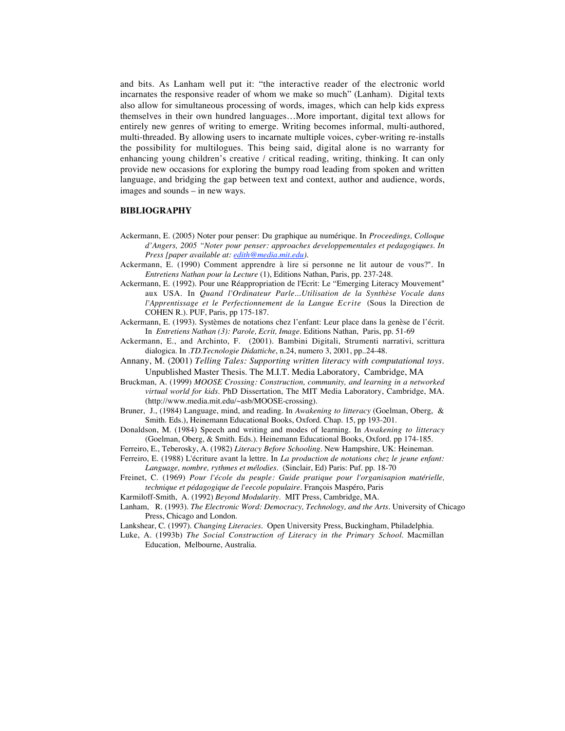and bits. As Lanham well put it: "the interactive reader of the electronic world incarnates the responsive reader of whom we make so much" (Lanham). Digital texts also allow for simultaneous processing of words, images, which can help kids express themselves in their own hundred languages…More important, digital text allows for entirely new genres of writing to emerge. Writing becomes informal, multi-authored, multi-threaded. By allowing users to incarnate multiple voices, cyber-writing re-installs the possibility for multilogues. This being said, digital alone is no warranty for enhancing young children's creative / critical reading, writing, thinking. It can only provide new occasions for exploring the bumpy road leading from spoken and written language, and bridging the gap between text and context, author and audience, words, images and sounds – in new ways.

## **BIBLIOGRAPHY**

- Ackermann, E. (2005) Noter pour penser: Du graphique au numérique. In *Proceedings, Colloque d'Angers, 2005 "Noter pour penser: approaches developpementales et pedagogiques. In Press [paper available at: edith@media.mit.edu).*
- Ackermann, E. (1990) Comment apprendre à lire si personne ne lit autour de vous?". In *Entretiens Nathan pour la Lecture* (1), Editions Nathan, Paris, pp. 237-248.
- Ackermann, E. (1992). Pour une Réappropriation de l'Ecrit: Le "Emerging Literacy Mouvement" aux USA. In *Quand l'Ordinateur Parle...Utilisation de la Synthèse Vocale dans l'Apprentissage et le Perfectionnement de la Langue Ecrite* (Sous la Direction de COHEN R.). PUF, Paris, pp 175-187.
- Ackermann, E. (1993). Systèmes de notations chez l'enfant: Leur place dans la genèse de l'écrit. In *Entretiens Nathan (3): Parole, Ecrit, Image*. Editions Nathan, Paris, pp. 51-69
- Ackermann, E., and Archinto, F. (2001). Bambini Digitali, Strumenti narrativi, scrittura dialogica. In .*TD.Tecnologie Didattiche*, n.24, numero 3, 2001, pp..24-48.
- Annany, M. (2001) *Telling Tales: Supporting written literacy with computational toys*. Unpublished Master Thesis. The M.I.T. Media Laboratory, Cambridge, MA
- Bruckman, A. (1999) *MOOSE Crossing: Construction, community, and learning in a networked virtual world for kids.* PhD Dissertation, The MIT Media Laboratory, Cambridge, MA. (http://www.media.mit.edu/~asb/MOOSE-crossing).
- Bruner, J., (1984) Language, mind, and reading. In *Awakening to litteracy* (Goelman, Oberg, & Smith. Eds.), Heinemann Educational Books, Oxford. Chap. 15, pp 193-201.
- Donaldson, M. (1984) Speech and writing and modes of learning. In *Awakening to litteracy* (Goelman, Oberg, & Smith. Eds.). Heinemann Educational Books, Oxford. pp 174-185.
- Ferreiro, E., Teberosky, A. (1982) *Literacy Before Schooling.* New Hampshire, UK: Heineman.
- Ferreiro, E. (1988) L'écriture avant la lettre. In *La production de notations chez le jeune enfant: Language, nombre, rythmes et mélodies.* (Sinclair, Ed) Paris: Puf. pp. 18-70
- Freinet, C. (1969) *Pour l'école du peuple: Guide pratique pour l'organisapion matérielle, technique et pédagogique de l'eecole populaire*. François Maspéro, Paris
- Karmiloff-Smith, A. (1992) *Beyond Modularity*. MIT Press, Cambridge, MA.
- Lanham, R. (1993). *The Electronic Word: Democracy, Technology, and the Arts*. University of Chicago Press, Chicago and London.
- Lankshear, C. (1997). *Changing Literacies.* Open University Press, Buckingham, Philadelphia.
- Luke, A. (1993b) *The Social Construction of Literacy in the Primary School*. Macmillan Education, Melbourne, Australia.